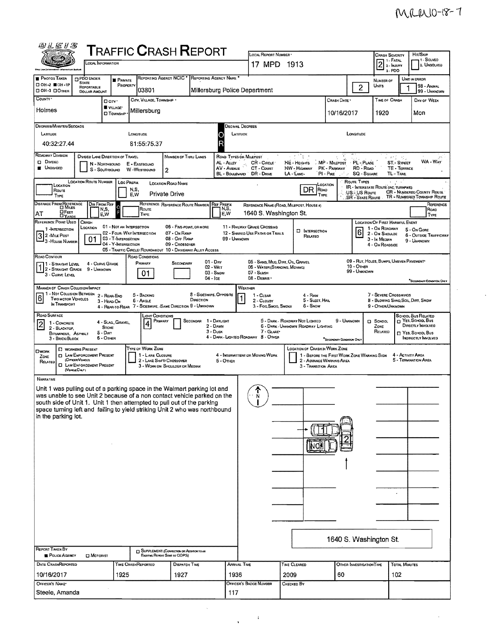$\hat{\boldsymbol{\beta}}$ 

| 田江尼川名                                                                                                                  |                                                                                                                      |                                                                        |                                       | <b>TRAFFIC CRASH REPORT</b>                                                                                                                                                                                                                                                                                                                                                                                       |                                                 |                                                                                  |                                                                       |                                                                                                                                  |                                                |                                                                                                                |                                                           |                                                                                                                               |
|------------------------------------------------------------------------------------------------------------------------|----------------------------------------------------------------------------------------------------------------------|------------------------------------------------------------------------|---------------------------------------|-------------------------------------------------------------------------------------------------------------------------------------------------------------------------------------------------------------------------------------------------------------------------------------------------------------------------------------------------------------------------------------------------------------------|-------------------------------------------------|----------------------------------------------------------------------------------|-----------------------------------------------------------------------|----------------------------------------------------------------------------------------------------------------------------------|------------------------------------------------|----------------------------------------------------------------------------------------------------------------|-----------------------------------------------------------|-------------------------------------------------------------------------------------------------------------------------------|
|                                                                                                                        | OCAL INFORMATION                                                                                                     |                                                                        |                                       |                                                                                                                                                                                                                                                                                                                                                                                                                   |                                                 | LOCAL REPORT NUMBER<br>17 MPD 1913                                               |                                                                       |                                                                                                                                  |                                                | <b>CRASH SEVERITY</b><br>$\boxed{2}$ $\overset{\text{1. FATAL}}{2}$ $\overset{\text{2. FATAL}}{2}$<br>3-PDO    |                                                           | Hir/Skip<br>1 - SOLVEO<br>2. Unsolveo                                                                                         |
| <b>B</b> PHOTOS TAKEN<br>□ 0H-2 ■ 0H-1P<br>OH-3 DOTHER                                                                 | PDO UNDER<br><b>STATE</b><br>REPORTABLE<br><b>DOLLAR AMOUNT</b>                                                      | PRIVATE<br>PROPERTY                                                    | 03801                                 | REPORTING AGENCY NCIC * REPORTING AGENCY NAME                                                                                                                                                                                                                                                                                                                                                                     |                                                 | Millersburg Police Department                                                    |                                                                       |                                                                                                                                  | $\overline{2}$                                 | NUMBER OF<br>UNITS                                                                                             |                                                           | UNIT IN ERROR<br>98 - ANIMAL<br>99 - UNKNOWN                                                                                  |
| COUNTY <sup>*</sup><br>Holmes                                                                                          |                                                                                                                      | D cirv.<br>VILLAGE*                                                    | CITY, VILLAGE, TOWNSHIP               |                                                                                                                                                                                                                                                                                                                                                                                                                   |                                                 |                                                                                  |                                                                       | Crash Date *                                                                                                                     |                                                | TIME OF CRASH                                                                                                  |                                                           | DAY OF WEEK                                                                                                                   |
|                                                                                                                        |                                                                                                                      | <b>D</b> TOWNSHIP                                                      | Millersburg                           |                                                                                                                                                                                                                                                                                                                                                                                                                   |                                                 |                                                                                  |                                                                       | 10/16/2017                                                                                                                       |                                                | 1920                                                                                                           |                                                           | Mon                                                                                                                           |
| DEGREES/MINUTES/SECONDS<br>LATITUDE<br>40:32:27.44                                                                     |                                                                                                                      |                                                                        | LONGITUDE<br>81:55:75.37              |                                                                                                                                                                                                                                                                                                                                                                                                                   | О                                               | Decimal Degrees<br>LATITUDE                                                      |                                                                       |                                                                                                                                  | LONGITUDE                                      |                                                                                                                |                                                           |                                                                                                                               |
| ROADWAY DIVISION<br><b>Q</b> Diveso<br><b>E</b> UNDIVIDED                                                              | DIVIDED LANE DIRECTION OF TRAVEL<br>N - NORTHBOUND<br>S - SOUTHBOUND                                                 |                                                                        | E - EASTBOUND<br>W -WESTBOUND         | NUMBER OF THRU LANES<br>$\overline{2}$                                                                                                                                                                                                                                                                                                                                                                            | AL - ALLEY<br>AV - AVENUE                       | ROAD TYPES OR MILEPOST<br>CR - CIRCLE<br>CT - Count<br>BL - BOULEVARD DR - DRIVE | it Ma<br>HE - HEIGHTS<br>HW - Highway<br>LA - LANE-                   | MP - MILEPOST<br>PK - PARKWAY<br>PI-PHE<br>می کر                                                                                 | PL - PLACE<br>RD - Row<br><b>SQ - SQUARE</b>   |                                                                                                                | ် စင်္ဂါ (၂၄)<br>ST.- STREET<br>TE - TERRACE<br>TL - TRAL | WA - WAY                                                                                                                      |
| LOCATION<br>Route<br>TYPE                                                                                              | <b>LOCATION ROUTE NUMBER</b>                                                                                         | <b>LOC PREFIX</b>                                                      | N,S,<br>E,W                           | LOCATION ROAD NAME<br><b>Private Drive</b>                                                                                                                                                                                                                                                                                                                                                                        |                                                 |                                                                                  |                                                                       | LOCATION<br>DR<br>Road<br>TYPE                                                                                                   | ROUTE TYPES<br>US-US Route<br>SR - State Route | <b>IR</b> INTERSTATE ROUTE (INC. TURNPIKE)                                                                     |                                                           | CR - NUMBERED COUNTY ROUTE<br>TR - NUMBERED TOWNSHIP ROUTE                                                                    |
| DISTANCE FROM REFERENCE<br><b>E</b> FEET<br>AT                                                                         | Dir From Ref<br>N,S,<br>E,W                                                                                          | $\circ$<br>F                                                           | Route<br><b>TYPE</b>                  | REFERENCE REFERENCE ROUTE NUMBER                                                                                                                                                                                                                                                                                                                                                                                  | <b>REF PREFIX</b><br>N,S,<br>E.W                | REFERENCE NAME (ROAD, MILEPOST, HOUSE #)<br>1640 S. Washington St.               |                                                                       |                                                                                                                                  |                                                |                                                                                                                |                                                           | REFERENCE<br>Road<br>TYPE                                                                                                     |
| REFERENCE POINT USED<br>1-INTERSECTION<br>3 2 - MILE POST<br>3 - House Number                                          | CRASH<br>LOCATION<br>01                                                                                              | 01 - NOT AN INTERSECTION<br>03 - T-INTERSECTION<br>04 - Y-INTERSECTION | 02 - FOUR-WAY INTERSECTION            | 06 - FIVE-POINT, OR MORE<br>07 - On RAMP<br>08 - OFF RAMP<br>09 - CROSSOVER<br>05 - TRAFFIC CIRCLE/ ROUNDABOUT 10 - DRIVEWAY/ ALLEY ACCESS                                                                                                                                                                                                                                                                        | 99 - UNKNOWN                                    | 11 - RAILWAY GRADE CROSSING<br>12 - SHARED USE PATHS OR TRAILS                   |                                                                       | <b>D</b> INTERSECTION<br>Related                                                                                                 | 6                                              | <b>LOCATION OF FIRST HARMFUL EVENT</b><br>1 - On ROADWAY<br>2 - On Shoulde<br>3 - In Median<br>4 - On ROADSIDE |                                                           | 5 - On Gore<br>6 - OUTSIDE TRAFFICWAY<br>9 - UNKNOWN                                                                          |
| ROAD CONTOUR<br>1 - Straight Level<br>12 - STRAIGHT GRADE<br>3 - Curve Level                                           | 4 - CURVE GRADE<br>9 - Unknown                                                                                       |                                                                        | ROAD CONDITIONS<br>PRIMARY<br>01      | SECONDARY                                                                                                                                                                                                                                                                                                                                                                                                         | 01 - Day<br>02 - Wer<br>$03 -$ SNOW<br>04 - Ice | 06 - WATER (STANDING, MOVING)<br>07 - SLUSH<br>08 - DEBRIS                       | 05 - SAND, MUD, DIRT, OIL, GRAVEL                                     |                                                                                                                                  | $10 -$ Omer<br>99 - Unknown                    | 09 - RUT. HOLES, BUMPS, UNEVEN PAVEMENT*                                                                       |                                                           | "SECONDARY CONDITION ONLY                                                                                                     |
| <b>MANNER OF CRASH COLLISION/IMPACT</b><br>1 - Not Collision Between<br>6<br><b>TWO MOTOR VEHICLES</b><br>IN TRANSPORT |                                                                                                                      | 2 - REAR-END<br>3 - HEAD ON                                            | 5 - BACKING<br><b>6 - ANGLE</b>       | DIRECTION<br>4 - REAR-TO-REAR 7 - SIDESWIPE, SAME DIRECTION 9 - UNKNOWN                                                                                                                                                                                                                                                                                                                                           | 8 - Sideswipe, Opposite                         | WEATHER<br>1 - CLEAR<br>2 - CLOUDY<br>3 - Fog Smog, Smoke                        |                                                                       | 4 - RAIN<br>5 - Sleet, Hail<br>6 - Snow                                                                                          |                                                | 7 - SEVERE CROSSWINDS<br>8 - Blowing Sand, Soll, Dirt, Snow<br>9 - Other/Unknown                               |                                                           |                                                                                                                               |
| ROAD SURFACE<br>1 CONCRETE<br>$\mathbf{2}$<br>2 - BLACKTOP,<br>BITUMINOUS, ASPHALT<br>3 - Brick Block                  | $5 - Dir$<br>5 - Onen                                                                                                | 4 - SLAG, GRAVEL<br>STONE                                              | Light Conditions<br>4                 | PRIMARY<br>Secondar                                                                                                                                                                                                                                                                                                                                                                                               | 1 - DAYLIGHT<br>2 - Dawn<br>3 - Dusk            | 7 - GLARE<br>4 - DARK - LIGHTED ROADWAY 8 - OTHER                                | 5 - DARK - ROADWAY NOT LIGHTED<br>6 - DARK - UNKNOWN ROADWAY LIGHTING | <b>"Seconomity Condition Only</b>                                                                                                | 9 - UNKNOWN                                    | El School<br>ZONE<br>RELATED                                                                                   |                                                           | <b>SCHOOL BUS RELATED</b><br><b>D</b> Yes, School Bus<br>DIRECTLY INVOLVED<br>T YES, SCHOOL BUS<br><b>INGIRECTLY INVOLVED</b> |
| <b>OWORK</b><br>ZONE<br>RELATED<br>(VENDEOALY)                                                                         | <b>D</b> WORKERS PRESENT<br><b>D</b> LAW ENFORCEMENT PRESENT<br>(Orreen/Verecus)<br><b>D</b> LAW ENFORCEMENT PRESENT |                                                                        | TYPE OF WORK ZONE<br>1 - LANE CLOSURE | 2 - LANE SHIFT/ CROSSOVER<br>3 - WORK ON SHOULDER OR MEDIAN                                                                                                                                                                                                                                                                                                                                                       | $5 -$ OTHER                                     | 4 - INTERMITTENT OR MOVING WORK                                                  |                                                                       | LOCATION OF CRASH IN WORK ZONE<br>1 - BEFORE THE FIRST WORK ZONE WARNING SIGN<br>2 - ADVANCE WARNING AREA<br>3 - Transition Area |                                                |                                                                                                                | 4 - ACTIVITY AREA                                         | 5 - TERMINATION AREA                                                                                                          |
| NARRATNE<br>in the parking lot.<br><b>REPORT TAKEN BY</b><br>POLICE AGENCY<br>DATE CRASHREPORTED                       | <b>D</b> MOTORIST                                                                                                    |                                                                        | TIME CRASHREPORTED                    | Unit 1 was pulling out of a parking space in the Walmart parking lot and<br>was unable to see Unit 2 because of a non contact vehicle parked on the<br>south side of Unit 1. Unit 1 then attempted to pull out of the parking<br>space turning left and failing to yield striking Unit 2 who was northbound<br>SUPPLEMENT (CONNECTAIN OF ADDITIONS TO AN<br>Existing Render Sent to ODPS)<br><b>DISPATCH TIME</b> |                                                 | N<br>ARRIVAL TIME                                                                | TIME CLEARED                                                          |                                                                                                                                  | OTHER INVESTIGATION TIME                       | 1640 S. Washington St.                                                                                         | <b>TOTAL MINUTES</b>                                      |                                                                                                                               |
| 10/16/2017                                                                                                             |                                                                                                                      | 1925                                                                   |                                       | 1927                                                                                                                                                                                                                                                                                                                                                                                                              | 1936                                            |                                                                                  | 2009                                                                  | 60                                                                                                                               |                                                |                                                                                                                | 102                                                       |                                                                                                                               |
| OFFICER'S NAME*<br>Steele, Amanda                                                                                      |                                                                                                                      |                                                                        |                                       |                                                                                                                                                                                                                                                                                                                                                                                                                   | 117                                             | Officer's BADGE NUMBER                                                           | CHECKED BY                                                            |                                                                                                                                  |                                                |                                                                                                                |                                                           |                                                                                                                               |

 $\hat{\mathbf{v}}$ 

 $\frac{1}{\sqrt{2}}$  ,  $\frac{1}{\sqrt{2}}$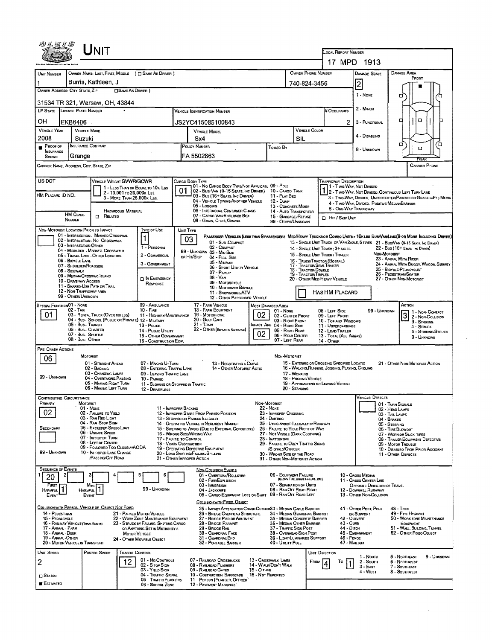|                                                                            |                                         | UNIT                                                                             |                            |                                                                                                             |                                                                 |                                                                                                           |               |                                                                                            |                                                       |                                                                                  |                                                                                                 |                                                      |                                                         |                                                                                                                              |  |
|----------------------------------------------------------------------------|-----------------------------------------|----------------------------------------------------------------------------------|----------------------------|-------------------------------------------------------------------------------------------------------------|-----------------------------------------------------------------|-----------------------------------------------------------------------------------------------------------|---------------|--------------------------------------------------------------------------------------------|-------------------------------------------------------|----------------------------------------------------------------------------------|-------------------------------------------------------------------------------------------------|------------------------------------------------------|---------------------------------------------------------|------------------------------------------------------------------------------------------------------------------------------|--|
|                                                                            |                                         |                                                                                  |                            |                                                                                                             |                                                                 |                                                                                                           |               |                                                                                            |                                                       |                                                                                  | LOCAL REPORT NUMBER                                                                             |                                                      |                                                         |                                                                                                                              |  |
|                                                                            |                                         |                                                                                  |                            |                                                                                                             |                                                                 |                                                                                                           |               |                                                                                            |                                                       | <b>OWNER PHONE NUMBER</b>                                                        | 17 MPD 1913                                                                                     |                                                      |                                                         | <b>DAMAGE AREA</b>                                                                                                           |  |
| UNIT NUMBER                                                                |                                         | Burris, Kathleen, J                                                              |                            | OWNER NAME: LAST, FIRST, MIDDLE ( C SAME AS DRIVER )                                                        |                                                                 |                                                                                                           |               |                                                                                            |                                                       | 740-824-3456                                                                     |                                                                                                 | DAMAGE SCALE                                         |                                                         | FRONT                                                                                                                        |  |
| OWNER ADDRESS: CITY, STATE, ZIP                                            |                                         |                                                                                  | <b>OSAME AS DRIVER</b> )   |                                                                                                             |                                                                 |                                                                                                           |               |                                                                                            |                                                       |                                                                                  |                                                                                                 | 2 <br>1 - NONE                                       |                                                         |                                                                                                                              |  |
| 31534 TR 321, Warsaw, OH, 43844                                            |                                         |                                                                                  |                            |                                                                                                             |                                                                 |                                                                                                           |               |                                                                                            |                                                       |                                                                                  |                                                                                                 |                                                      | o                                                       |                                                                                                                              |  |
| LP STATE LICENSE PLATE NUMBER                                              |                                         |                                                                                  |                            |                                                                                                             |                                                                 | <b>VEHICLE IDENTIFICATION NUMBER</b>                                                                      |               |                                                                                            |                                                       |                                                                                  | # Occupants                                                                                     | 2 - Minon                                            |                                                         |                                                                                                                              |  |
| ОH                                                                         | EKB6406                                 |                                                                                  |                            |                                                                                                             |                                                                 | JS2YC415085100843                                                                                         |               |                                                                                            |                                                       |                                                                                  | 2                                                                                               | 3 - FUNCTIONAL                                       |                                                         | α<br>d                                                                                                                       |  |
| <b>VEHICLE YEAR</b><br>2008                                                |                                         | <b>VEHICLE MAKE</b>                                                              |                            |                                                                                                             |                                                                 | <b>VEHICLE MODEL</b>                                                                                      |               |                                                                                            |                                                       | <b>VEHICLE COLOR</b>                                                             |                                                                                                 | 4 - DISABLING                                        |                                                         |                                                                                                                              |  |
| PROOF OF                                                                   | Suzuki                                  | <b>INSURANCE COMPANY</b>                                                         |                            |                                                                                                             |                                                                 | Sx4<br>POLICY NUMBER                                                                                      |               | Toweo By                                                                                   | SIL                                                   |                                                                                  |                                                                                                 | 9 - UNKNOWN                                          |                                                         | о<br>□<br>σ                                                                                                                  |  |
| <b>INSURANCE</b><br>SHOWN                                                  | Grange                                  |                                                                                  |                            |                                                                                                             |                                                                 | FA 5502863                                                                                                |               |                                                                                            |                                                       |                                                                                  |                                                                                                 |                                                      |                                                         |                                                                                                                              |  |
| CARRIER NAME, ADDRESS, CITY, STATE, ZIP                                    |                                         |                                                                                  |                            |                                                                                                             |                                                                 |                                                                                                           |               |                                                                                            |                                                       |                                                                                  |                                                                                                 |                                                      |                                                         | <b>CARRIER PHONE</b>                                                                                                         |  |
| US DOT                                                                     |                                         | VEHICLE WEIGHT GWWR/GCWR                                                         |                            |                                                                                                             |                                                                 | CARGO BODY TYPE                                                                                           |               |                                                                                            |                                                       |                                                                                  | TRAFFICWAY DESCRIPTION                                                                          |                                                      |                                                         |                                                                                                                              |  |
| HM PLACARD ID NO.                                                          |                                         |                                                                                  | 2 - 10,001 to 26,000x Las  | 1 - LESS THAN OR EQUAL TO 10K LBS                                                                           | 01                                                              | 01 - No CARGO BODY TYPE/NOT APPLICABL 09 - POLE<br>02 - BUSI VAN (9-15 SEATS, INC DRIVER) 10 - CARGO TANK |               |                                                                                            |                                                       |                                                                                  | 1 - Two Way, Not Divideo                                                                        |                                                      |                                                         | 1 2 - T WO-WAY, NOT DIVIDED, CONTINUOUS LEFT TURN LANE                                                                       |  |
|                                                                            |                                         |                                                                                  | 3 - MORE THAN 26,000K LBS. |                                                                                                             |                                                                 | 03 - Bus (16+ Seats, Inc Driver)<br>04 - VEHICLE TOWING ANOTHER VEHICLE<br>05 - Logging                   |               | 11 - FLAT BED<br>12 - Dump<br>13 - CONCRETE MIXER                                          |                                                       |                                                                                  | 4 - Two-WAY, DIVIDEO, POSITIVE MEDIANBARRER                                                     |                                                      |                                                         | 3 - Two WAY, DIVIDEO, UNPROTECTEO(PAINTED OR GRASS >4FT.) MEDIA                                                              |  |
|                                                                            | <b>HM CLASS</b>                         | <b>CI RELATED</b>                                                                | <b>HAZARDOUS MATERIAL</b>  |                                                                                                             | 06 - INTERMODAL CONTAINER CHASIS<br>07 - CARGO VAN ENCLOSED BOX |                                                                                                           |               |                                                                                            | <b>14 - AUTO TRANSPORTER</b><br>15 - GARBAGE / REFUSE |                                                                                  | 5 - ONE-WAY TRAFFICWAY                                                                          |                                                      |                                                         |                                                                                                                              |  |
|                                                                            | NUMBER                                  |                                                                                  |                            |                                                                                                             |                                                                 | 08 - GRAIN, CHIPS, GRAVEL                                                                                 |               | 99 - OTHER/UNKNOWN                                                                         |                                                       |                                                                                  | FL Hit / Skip UNit                                                                              |                                                      |                                                         |                                                                                                                              |  |
| NON-MOTORIST LOCATION PRIOR TO IMPACT                                      |                                         | 01 - INTERSECTION - MARKED CROSSWAL                                              |                            | <b>TYPE OF USE</b><br>$\mathbf{1}$                                                                          | UNIT TYPE                                                       |                                                                                                           |               |                                                                                            |                                                       |                                                                                  |                                                                                                 |                                                      |                                                         | PASSENGER VEHICLES (LESS THAN 9 PASSENGERS MEDIMEAVY TRUCKS OR COMBO UNITS > 10KLES BUS/VAN/LIMO(9 OR MORE INCLUDING DRIVER) |  |
|                                                                            | 03 - INTERSECTION OTHER                 | 02 - INTERSECTION No CROSSWALK                                                   |                            | 1 - PERSONAL                                                                                                | 03                                                              | 01 - Sub-Compact<br>02 - COMPACT                                                                          |               |                                                                                            |                                                       |                                                                                  | 14 - SINGLE UNIT TRUCK; 3+ AXLES                                                                |                                                      |                                                         | 13 - SINGLE UNIT TRUCK OR VAN ZAXLE, 6 TIRES 21 - BUSNAN (9-15 SEATS, INC DRIVER)<br>22 - BUS (15+ SEATS, INC DRIVER)        |  |
|                                                                            | 06 - BICYCLE LANE                       | 04 - MIDBLOCK - MARKED CROSSWALK<br>05 - TRAVEL LANE - OTHER LOCATION            |                            | 2 - COMMERCIAL                                                                                              |                                                                 | 99 - UNKNOWN 03 - MIO SIZE<br>OR HIT/SKIP<br>04 - Fut Size                                                |               |                                                                                            |                                                       |                                                                                  | 15 - SINGLE UNIT TRUCK / TRAILER                                                                |                                                      | NON-MOTORIST                                            | 23 - ANIMAL WITH RIDER                                                                                                       |  |
|                                                                            | 07 - SHOULDER/ROADSIDE<br>08 - SIDEWALK |                                                                                  |                            | 3 - GOVERNMENT                                                                                              |                                                                 | 05 - Minivan<br>06 - SPORT UTILITY VEHICLE                                                                |               |                                                                                            |                                                       | 16 - TRUCK/TRACTOR (BOBTAIL)<br>17 - TRACTOR/SEMI-TRAILER<br>18 - TRACTOR/DOUBLE |                                                                                                 |                                                      |                                                         | 24 - ANIMAL WITH BUGGY, WAGON, SURREY<br>25 - BICYCLE/PEDACYCLIST                                                            |  |
|                                                                            | 10 - DRME WAY ACCESS                    | 09 - MEDIAN/CROSSING ISLAND                                                      |                            | <b>DIN EMERGENCY</b>                                                                                        |                                                                 | 07 - PICKUP<br>08 - VAN<br>09 - MOTORCYCLE                                                                |               |                                                                                            |                                                       | 19 - TRACTOR/TRIPLES                                                             | 20 - OTHER MEDIHEAVY VEHICLE                                                                    |                                                      |                                                         | 26 - PEDESTRIAN/SKATER<br>27 - OTHER NON-MOTORIST                                                                            |  |
|                                                                            | 12 - NON-TRAFFICWAY AREA                | 11 - SHARED-USE PATH OR TRAIL                                                    |                            | RESPONSE                                                                                                    | 10 - MOTORIZEO BICYCLE<br>11 - SNOWMOBILE/ATV                   |                                                                                                           |               |                                                                                            |                                                       | HAS HM PLACARD                                                                   |                                                                                                 |                                                      |                                                         |                                                                                                                              |  |
|                                                                            | 99 - OTHER/UNKNOWN                      |                                                                                  |                            |                                                                                                             |                                                                 | 12 - OTHER PASSENGER VEHICLE                                                                              |               |                                                                                            |                                                       |                                                                                  |                                                                                                 |                                                      |                                                         |                                                                                                                              |  |
| SPECIAL FUNCTION 01 - NONE<br>01                                           | 02 - Taxi                               | 03 - RENTAL TRUCK (OVER 10X LBS)                                                 |                            | 09 - AMBULANCE<br>$10 -$ Fire<br>11 - HIGHWAY/MAINTENANCE                                                   |                                                                 | 17 - FARM VEHICLE<br>18 - FARM EOUPMENT<br>19 - Мотовноме                                                 | 02            | MOST DAMAGED AREA<br>$01 - None$                                                           |                                                       |                                                                                  | 08 - LEFT SIDE                                                                                  |                                                      | 99 - Unknown                                            | ACTION<br>1 1 - Non-Contact                                                                                                  |  |
|                                                                            | 05 - Bus - Transit                      | 04 - Bus - SCHOOL (PUBLIC OR PRIVATE) 12 - MILITARY                              |                            | 13 - Pouce                                                                                                  |                                                                 | 20 - GOLF CART<br>$21 -$ TRAIN                                                                            |               | 02 - CENTER FRONT<br>03 - RIGHT FRONT<br>MPACT ARE 04 - RIGHT SIDE                         |                                                       |                                                                                  | 09 - LEFT FRONT<br>10 - TOP AND WINDOWS<br>11 - UNDERCARRIAGE                                   |                                                      |                                                         | 2 - Non-Collision<br>3 - STRIKING                                                                                            |  |
|                                                                            |                                         | 06 - Bus - CHARTER<br>07 - Bus - SHUTTLE                                         |                            | 14 - PUBLIC UTILITY<br>15 - OTHER GOVERNMENT                                                                |                                                                 | 22 - OTHER (EXPLANIN NAPSIATIVE)                                                                          | 02            | 05 - RIGHT REAR<br>06 - REAR CENTER                                                        |                                                       |                                                                                  | 12 LOAD/TRAILER<br>13 - TOTAL (ALL AREAS)                                                       |                                                      |                                                         | 4 - STRUCK<br>5 - STRIKING/STRUCK                                                                                            |  |
|                                                                            | 08 - Bus - OTHER                        |                                                                                  |                            | 16 - CONSTRUCTION EOIP,                                                                                     |                                                                 |                                                                                                           |               | 07 - LEFT REAR                                                                             |                                                       |                                                                                  | 14 - OTHER                                                                                      |                                                      |                                                         | 9 - UNKNOWN                                                                                                                  |  |
| PRE- CRASH ACTIONS<br>06                                                   |                                         | MOTORIST                                                                         |                            |                                                                                                             |                                                                 |                                                                                                           |               | NON-MOTORIST                                                                               |                                                       |                                                                                  |                                                                                                 |                                                      |                                                         |                                                                                                                              |  |
|                                                                            |                                         | 01 - STRAIGHT AHEAD<br>02 - BACKING                                              |                            | 07 - MAKING U-TURN<br>08 - ENTERING TRAFFIC LANE                                                            |                                                                 | 13 - NEGOTIATING A CURVE<br>14 - OTHER MOTORIST ACTIO                                                     |               |                                                                                            |                                                       |                                                                                  | 15 - ENTERING OR CROSSING SPECIFIED LOCATIO<br>16 - WALKING, RUNNING, JOGGING, PLAYING, CYCLING |                                                      |                                                         | 21 - OTHER NON-MOTORIST ACTION                                                                                               |  |
| 99 - UNKNOWN                                                               |                                         | 03 - CHANGING LANES<br>04 - OVERTAKING/PASSING                                   |                            | 09 - LEAVING TRAFFIC LANE<br>10 - PARKED                                                                    |                                                                 |                                                                                                           |               |                                                                                            | 17 - WORKING<br>18 - PUSHING VEHICLE                  |                                                                                  |                                                                                                 |                                                      |                                                         |                                                                                                                              |  |
|                                                                            |                                         | 05 - MAKING RIGHT TURN<br>05 - MAKING LEFT TURN                                  |                            | 11 - SLOWING OR STOPPED IN TRAFFIC<br>12 - DRIVERLESS                                                       |                                                                 |                                                                                                           |               |                                                                                            | 20 - STANDING                                         |                                                                                  | 19 - APPROACHING OR LEAVING VEHICLE                                                             |                                                      |                                                         |                                                                                                                              |  |
| <b>CONTRIBUTING CIRCUMSTANCE</b><br>Prmary                                 |                                         | MOTORIST                                                                         |                            |                                                                                                             |                                                                 |                                                                                                           |               | NON-MOTORIST                                                                               |                                                       |                                                                                  |                                                                                                 | <b>VEHICLE DEFECTS</b>                               |                                                         |                                                                                                                              |  |
| 02                                                                         |                                         | 01 - None<br>02 - FAILURE TO YIELD                                               |                            |                                                                                                             | 11 - IMPROPER BACKING                                           | 12 - IMPROPER START FROM PARKED POSITION                                                                  |               | 22 - NONE<br>23 - IMPROPER CROSSING                                                        |                                                       |                                                                                  |                                                                                                 |                                                      | 01 - TURN SIGNALS<br>02 - HEAD LAMPS<br>03 - TAIL LAMPS |                                                                                                                              |  |
|                                                                            |                                         | 03 - RAN REO LIGHT<br>04 - RAN STOP SIGN                                         |                            |                                                                                                             |                                                                 | 13 - STOPPEO OR PARKED ILLEGALLY<br>14 - OPERATING VEHICLE IN NEGLIGENT MANNER                            |               | 24 - DARTING<br>25 - LYING AND/OR ILLEGALLY IN ROADWAY                                     |                                                       |                                                                                  |                                                                                                 |                                                      | 04 - BRAKES<br>05 - STEERING                            |                                                                                                                              |  |
| SECDNDARY                                                                  |                                         | 05 - Exceedeo Speed Limit<br>06 - UNSAFE SPEED                                   |                            |                                                                                                             |                                                                 | 15 - Swering to Avoid (Due to External Conditions)<br>16 - WRONG SIDE/WRONG WAY                           |               | 26 - FALURE TO YIELD RIGHT OF WAY<br>27 - NOT VISIBLE (DARK CLOTHING)                      |                                                       |                                                                                  |                                                                                                 |                                                      | 05 - TIRE BLOWDUT                                       | 07 - WORN OR SLICK TIRES                                                                                                     |  |
|                                                                            |                                         | 07 - IMPROPER TURN<br>08 - LEFT OF CENTER                                        |                            |                                                                                                             | 17 - FALURE TO CONTROL<br>18 - Vision Obstruction               |                                                                                                           |               | 28 - INATTENTIVE<br>29 - FAILURE TO OBEY TRAFFIC SIGNS                                     |                                                       |                                                                                  |                                                                                                 |                                                      |                                                         | 08 - TRAILER EQUIPMENT DEFECTIVE<br>09 - Motor Trouble                                                                       |  |
| 99 - UNKNOWN                                                               |                                         | 09 - Followed Too Closely/ACDA<br>10 - IMPROPER LANE CHANGE<br>/PASSING/OFF ROAD |                            |                                                                                                             |                                                                 | 19 - OPERATING DEFECTIVE EQUIPMENT<br>20 - LOAD SHIFTING/FALLING/SPILLING                                 |               | /SIGNALS/OFFICER<br>30 - WRONG SIDE OF THE ROAD                                            |                                                       |                                                                                  |                                                                                                 |                                                      |                                                         | 10 - DISABLEO FROM PRIOR ACCIDENT<br>11 - OTHER DEFECTS                                                                      |  |
| <b>SEQUENCE OF EVENTS</b>                                                  |                                         |                                                                                  |                            |                                                                                                             |                                                                 | 21 - OTHER IMPROPER ACTION                                                                                |               | 31 - OTHER NON-MOTORIST ACTION                                                             |                                                       |                                                                                  |                                                                                                 |                                                      |                                                         |                                                                                                                              |  |
| 20                                                                         | 2                                       |                                                                                  |                            | Б<br>6                                                                                                      |                                                                 | <b>NON-COLLISION EVENTS</b><br>01 - OVERTURN/ROLLOVER<br>02 - FIRE/EXPLOSION                              |               | 06 - EQUIPMENT FAILURE                                                                     | (BLOWN TIRE, BRAKE FAILURE, ETC)                      |                                                                                  |                                                                                                 | 10 - Cross Median<br>11 - Cross CENTER LINE          |                                                         |                                                                                                                              |  |
| Frast<br>HARMFUL                                                           |                                         | Most<br><b>HARMFUL</b>                                                           |                            | 99 - UNKNOWN                                                                                                |                                                                 | 03 - IMMERSION<br>04 - JACKKNIFE                                                                          |               | 07 - SEPARATION OF UNITS<br>08 - RAN OFF ROAD RIGHT                                        |                                                       |                                                                                  |                                                                                                 | OPPOSITE DIRECTION OF TRAVEL<br>12 - DOWNHEL RUNAWAY |                                                         |                                                                                                                              |  |
| EVENT                                                                      |                                         | EVENT                                                                            |                            |                                                                                                             |                                                                 | 05 - CARGO/EQUIPMENT LOSS OR SHIFT 09 - RAN OFF ROAD LEFT                                                 |               |                                                                                            |                                                       |                                                                                  |                                                                                                 | 13 - OTHER NON-COLLISION                             |                                                         |                                                                                                                              |  |
|                                                                            |                                         | COLLISION WITH PERSON, VEHICLE OR OBJECT NOT FIXED                               |                            |                                                                                                             |                                                                 | COLUSION WITH FIXED, OBJECT<br>25 - IMPACT ATTENUATOR/CRASH CUSHION33 - MEDIAN CABLE BARRIER              |               |                                                                                            |                                                       |                                                                                  |                                                                                                 | 41 - OTHER POST, POLE                                |                                                         | <b>48 - TREE</b>                                                                                                             |  |
| 14 - PEDESTRIAN<br>15 - PEDALCYCLE<br>16 - RAILWAY VEHICLE (TRAIN, ENGINE) |                                         |                                                                                  |                            | 21 - PARKED MOTOR VEHICLE<br>22 - WORK ZONE MAINTENANCE EQUIPMENT<br>23 - STRUCK BY FALLING, SHIFTING CARGO |                                                                 | 26 - BRIDGE OVERHEAD STRUCTURE<br>27 - BRIDGE PIER OR ABUTMENT<br>28 - BRIDGE PARAPET                     |               | 34 - MEDIAN GUARDRAIL BARRIER<br>35 - MEDIAN CONCRETE BARRIER<br>36 - MEDIAN OTHER BARRIER |                                                       |                                                                                  | 42 - CULVERT<br>$43 - C$ URB                                                                    | OR SUPPDRT                                           |                                                         | 49 - FIRE HYDRANT<br>50 - WORK ZONE MAINTENANCE<br>EQUIPMENT                                                                 |  |
| 17 - ANIMAL - FARM<br>18 - ANIMAL - DEER                                   |                                         |                                                                                  | <b>MOTOR VEHICLE</b>       | OR ANYTHING SET IN MOTION BY A                                                                              |                                                                 | 29 - BRIDGE RAIL<br>30 - GUARDRAIL FACE                                                                   |               | 37 - TRAFFIC SIGN POST<br>38 - Overhead Sign Post                                          |                                                       |                                                                                  | 44 - Опон                                                                                       | 45 - EMBANKMENT                                      |                                                         | 51 - WALL, BULDING, TUNNEL<br>52 - OTHER FIXEO OBJECT                                                                        |  |
| 19 - ANIMAL - OTHER<br>20 - MOTOR VEHICLE IN TRANSPORT                     |                                         |                                                                                  |                            | 24 - OTHER MOVABLE OBJECT                                                                                   |                                                                 | 31 - GUARDRAILEND<br>32 - PORTABLE BARRIER                                                                |               | 39 - LIGHT/LUMINARIES SUPPORT<br>40 - UTRITY POLE                                          |                                                       |                                                                                  | 46 - FENCE<br>47 - MAILBOX                                                                      |                                                      |                                                         |                                                                                                                              |  |
| UNIT SPEED                                                                 |                                         | POSTED SPEED                                                                     | <b>TRAFFIC CONTROL</b>     |                                                                                                             |                                                                 |                                                                                                           |               |                                                                                            |                                                       | UNIT DIRECTION                                                                   |                                                                                                 | 1 - Norm                                             |                                                         | 9 - Unknown<br>5 - Northeast                                                                                                 |  |
| 2                                                                          |                                         |                                                                                  | 12                         | 01 - NG CONTROLS<br>02 - S TOP SIGN                                                                         |                                                                 | 07 - RAILROAD CROSSBUCKS<br>08 - RAILROAD FLASHERS                                                        |               | 13 - Crosswalk Lines<br>14 - WALK/DON'T WALK                                               |                                                       | FROM                                                                             | To                                                                                              | 2 - South<br>$3 - E$ AST                             |                                                         | 6 - NORTHWEST<br>7 - SDUTHEAST                                                                                               |  |
| $\Box$ Stateo                                                              |                                         |                                                                                  |                            | 03 - YIELD SIGN<br>04 - Traffic Signal                                                                      |                                                                 | 09 - RAILROAD GATES<br>10 - COSTRUCTION BARRICADE 16 - NOT REPORTED                                       | $15 - 0$ Then |                                                                                            |                                                       |                                                                                  |                                                                                                 | 4 - West                                             |                                                         | 8 - Southwest                                                                                                                |  |
| <b>ESTIMATED</b>                                                           |                                         |                                                                                  |                            | 05 - Traffic Flashers<br>06 - SCHOOL ZONE                                                                   |                                                                 | 11 - PERSON (FLAGGER, OFFICER)<br>12 - PAVEMENT MARKINGS                                                  |               |                                                                                            |                                                       |                                                                                  |                                                                                                 |                                                      |                                                         |                                                                                                                              |  |

 $\sim$ 

 $\sim$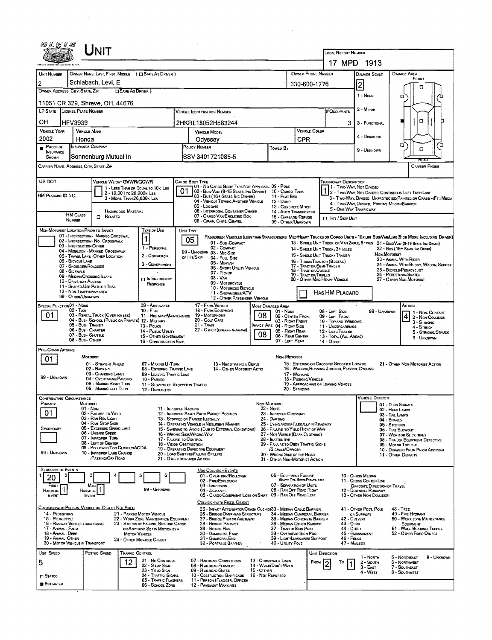| UNIT                                                                                                        |                                                                                |                                                                                                  |                                                       |                                                                             |                                                                                                 |                                                       |                                                                                                                               |  |  |
|-------------------------------------------------------------------------------------------------------------|--------------------------------------------------------------------------------|--------------------------------------------------------------------------------------------------|-------------------------------------------------------|-----------------------------------------------------------------------------|-------------------------------------------------------------------------------------------------|-------------------------------------------------------|-------------------------------------------------------------------------------------------------------------------------------|--|--|
|                                                                                                             |                                                                                |                                                                                                  |                                                       |                                                                             | <b>LOCAL REPORT NUMBER</b>                                                                      | 17 MPD 1913                                           |                                                                                                                               |  |  |
|                                                                                                             |                                                                                |                                                                                                  |                                                       |                                                                             |                                                                                                 |                                                       |                                                                                                                               |  |  |
| OWNER NAME: LAST, FIRST, MIDDLE ( C SAME AS DRIVER )<br>UNIT NUMBER<br>Schlabach, Levi, E<br>$\overline{2}$ |                                                                                |                                                                                                  |                                                       | OWNER PHONE NUMBER                                                          |                                                                                                 | DAMAGE SCALE                                          | DAMAGE AREA<br>FRONT                                                                                                          |  |  |
| OWNER ADDRESS: CITY, STATE, ZIP                                                                             | SAME AS DRIVER )                                                               |                                                                                                  |                                                       | 330-600-1776                                                                |                                                                                                 | $\vert$ 2                                             | о                                                                                                                             |  |  |
| 11051 CR 329, Shreve, OH, 44676                                                                             |                                                                                |                                                                                                  |                                                       |                                                                             |                                                                                                 | 1 - None                                              | □                                                                                                                             |  |  |
| LP STATE LICENSE PLATE NUMBER                                                                               | # OCCUPANTS                                                                    | 2 - MINOR                                                                                        |                                                       |                                                                             |                                                                                                 |                                                       |                                                                                                                               |  |  |
| OН<br><b>HFV3939</b>                                                                                        |                                                                                | 2HKRL18052H583244                                                                                |                                                       |                                                                             | 3                                                                                               | 3 - FUNCTIONAL                                        | α                                                                                                                             |  |  |
| <b>VEHICLE YEAR</b><br><b>VEHICLE MAKE</b>                                                                  |                                                                                | <b>VEHICLE MODEL</b>                                                                             |                                                       | <b>VEHICLE COLOR</b>                                                        |                                                                                                 |                                                       |                                                                                                                               |  |  |
| 2002<br>Honda                                                                                               |                                                                                | Odyssey                                                                                          | CPR                                                   |                                                                             | 4 - DISABLING                                                                                   |                                                       |                                                                                                                               |  |  |
| <b>INSURANCE COMPANY</b><br>Proof of<br><b>INSURANCE</b>                                                    |                                                                                | POLICY NUMBER                                                                                    | Towed By                                              |                                                                             |                                                                                                 | ۵<br>้อ<br>o                                          |                                                                                                                               |  |  |
| Sonnenburg Mutual In<br>SHOWN                                                                               |                                                                                | SSV 3401721085-5                                                                                 |                                                       |                                                                             |                                                                                                 |                                                       | RFAL                                                                                                                          |  |  |
| CARRIER NAME, ADDRESS, CITY, STATE, ZIP                                                                     |                                                                                |                                                                                                  |                                                       |                                                                             |                                                                                                 |                                                       | CARRIER PHONE                                                                                                                 |  |  |
| US DOT<br>VEHICLE WEIGHT GWWR/GCWR                                                                          |                                                                                | CARGO BODY TYPE<br>01 - No CARGO BODY TYPE/NOT APPLICABL 09 - POLE                               |                                                       |                                                                             | <b>TRAPFICWAY DESCRIPTION</b>                                                                   |                                                       |                                                                                                                               |  |  |
| HM PLACARO ID NO.                                                                                           | 1 - LESS THAN OR EQUAL TO 10K LBS<br>2 - 10,001 to 26,000 k Las                | 01<br>02 - Bus/Van (9-15 Seats, Inc Driver)<br>03 - Bus (16+ Seats, Inc Driver)                  | 10 - CARGO TANK<br>11 - FLAT BED                      |                                                                             | 71 1 - Two-Way, Not Divided                                                                     |                                                       | 2 - Two-Way, Not Diverd, Continuous Left Turn Lane                                                                            |  |  |
|                                                                                                             | 3 - MORE THAN 26,000K LBS.                                                     | 04 - VEHICLE TOWING ANOTHER VEHICLE<br>05 - Logging                                              | 12 - Dump                                             | 13 - CONCRETE MIXER                                                         |                                                                                                 | 4 - Two-Way, Divideo, Positive Median Barrier         | 3 - Two-Way, Divided, Unprotected(Painted or Grass>4Ft.) Media                                                                |  |  |
| <b>HM CLASS</b><br>$\Box$ Related                                                                           | <b>HAZAROOUS MATERIAL</b>                                                      | 06 - INTERMODAL CONTAINER CHASIS<br>07 - CARGO VAN ENCLOSED BOX                                  |                                                       | 14 - AUTO TRANSPORTER<br>15 - GARBACE / REFUSE                              | 5 - ONE-WAY TRAFFICWAY                                                                          |                                                       |                                                                                                                               |  |  |
| <b>NUMBER</b>                                                                                               |                                                                                | 08 - GRAIN, CHIPS, GRAVEL                                                                        |                                                       | 99 - OTHER/UNKNOWN                                                          | El Hr / Skip Unit                                                                               |                                                       |                                                                                                                               |  |  |
| NON-MOTORIST LOCATION PRIOR TO IMPACT<br>01 - INTERSECTION - MARKED CROSSWAL                                | TYPE OF USE                                                                    | UNIT TYPE                                                                                        |                                                       |                                                                             |                                                                                                 |                                                       | Passenger Vehicles (less than 9 passengers Med/Heavy Trucks or Combo Units > 10x les Bus/Van/Limo(9 or More Including Driver) |  |  |
| 02 - INTERSECTION - NO CROSSWALK<br>03 - INTERSECTION OTHER                                                 | 1<br>1 - PERSONAL                                                              | 05<br>01 - Sub-COMPACT<br>02 - COMPACT                                                           |                                                       |                                                                             |                                                                                                 |                                                       | 13 - SINGLE UNIT TRUCK OR VAN ZAXLE, 6 TRES 21 - BUS/VAN (9-15 SEATS, INC DRIVER)                                             |  |  |
| 04 - MIDBLOCK - MARKED CROSSWALK<br>05 - TRAVEL LANE - OTHER LOCATION                                       | 2 - COMMERCIAL                                                                 | 99 - UNKNOWN 03 - MID SIZE<br>OR HIT/SKIP<br>04 - FULL SIZE                                      |                                                       |                                                                             | 14 - SINGLE UNIT TRUCK: 3+ AXLES<br>15 - SINGLE UNIT TRUCK / TRAILER                            | Non-Mororist                                          | 22 - Bus (16+ Seats, Inc Driver)                                                                                              |  |  |
| 06 - BICYCLE LANE<br>07 - SHOULDER/ROADSIDE                                                                 | 3 - GOVERNMENT                                                                 | 05 - MINIVAN                                                                                     |                                                       | 17 - Tractor/Semi-Trailer                                                   | 16 - TRUCK/TRACTOR (BOBTAIL)                                                                    |                                                       | 23 - ANMAL WITH RIDER<br>24 - ANIMAL WITH BUGGY, WAGON, SURREY                                                                |  |  |
| 08 - Sidewalk<br>09 - MEOIAN/CROSSING ISLAND                                                                |                                                                                | 06 - SPORT UTILITY VEHICLE<br>07 - Pickup<br>08 - VAN                                            |                                                       | 18 - TRACTOR/DOUBLE<br>19 - TRACTOR/TRIPLES                                 | 25 - BICYCLE/PEDACYCLIST<br>26 - PEDESTRIAN/SKATER                                              |                                                       |                                                                                                                               |  |  |
| 10 - DRIVE WAY ACCESS<br>11 - Shared-Use Path or Trail                                                      | <b>DIN EMERGENCY</b><br>RESPONSE                                               | 09 - MOTORCYCLE<br>10 - MOTORIZED BICYCLE                                                        |                                                       |                                                                             | 20 - OTHER MEDIHEAVY VEHICLE                                                                    |                                                       | 27 - OTHER NON-MOTORIST                                                                                                       |  |  |
| 12 - NON-TRAFFICWAY AREA<br>99 - OTHER/UNKNOWN                                                              |                                                                                | 11 - SNOWMOBILE/ATV<br>12 - OTHER PASSENGER VEHICLE                                              |                                                       |                                                                             | HAS HM PLACARD                                                                                  |                                                       |                                                                                                                               |  |  |
| SPECIAL FUNCTION 01 - NONE                                                                                  | 09 - AMBULANCE                                                                 | 17 - FARM VEHICLE                                                                                | MOST DAMAGED AREA                                     |                                                                             |                                                                                                 |                                                       |                                                                                                                               |  |  |
| $02 - TAXI$<br>01<br>03 - RENTAL TRUCK (OVER 10K LBS)                                                       | $10 - F$ <sub>IRE</sub><br>11 - HIGHWAY/MAINTENANCE                            | 18 - FARM EOUIPMENT<br>19 - Мотояноме                                                            | 01 - NONE<br>08                                       | 02 - CENTER FRONT                                                           | 08 - LEFT SIDE<br>09 - LEFT FRONT                                                               | 99 - UNKNOWN                                          | $\begin{array}{ c c }\n\hline\n4 & 2 - \text{Non-Conv} \\ \hline\n\end{array}$                                                |  |  |
| 04 - Bus - SCHOOL (PUBLIC OR PRIVATE) 12 - MILITARY<br>05 - Bus Transit                                     | 13 - Pouce                                                                     | 20 - Golf Cart<br>$21 -$ Tran                                                                    | MPACT ARE 04 - RIGHT SIDE                             | 03 - Right Front                                                            | 10 - TOP AND WINDOWS<br>11 - UNOERCARRIAGE                                                      |                                                       | 3 - STRIKING<br>4 - STRUCK                                                                                                    |  |  |
| 06 - Bus - Charter<br>07 - Bus - SHUTTLE                                                                    | 14 - Pusuc Unury<br>15 - OTHER GOVERNMENT                                      | 22 - OTHER (EXPLAN IN NASHATIVE)                                                                 | 08                                                    | 05 - RIGHT REAR<br>06 - REAR CENTER                                         | 12 - LOAD/TRAILER<br>13 - TOTAL (ALL AREAS)                                                     |                                                       | 5 - STRIKING/STRUCK<br>9 - Unknown                                                                                            |  |  |
| 08 - Bus - OTHER<br>PRE- CRASH ACTIONS                                                                      | 16 - CONSTRUCTION EGIP.                                                        |                                                                                                  |                                                       | 07 - LEFT REAR                                                              | 14 - Отнея                                                                                      |                                                       |                                                                                                                               |  |  |
| <b>MOTORIST</b><br>01                                                                                       |                                                                                |                                                                                                  |                                                       | NON-MOTORIST                                                                |                                                                                                 |                                                       |                                                                                                                               |  |  |
| 01 - STRAIGHT AHEAD<br>02 - BACKING                                                                         | 07 - MAKING U-TURN<br>08 - ENTERING TRAFFIC LANE                               | 13 - NEGOTIATING A CURVE<br>14 - OTHER MOTORIST ACTIO                                            |                                                       |                                                                             | 15 - ENTERING OR CROSSING SPECIFIED LOCATIO<br>16 - WALKING, RUNNING, JOGGING, PLAYING, CYCLING |                                                       | 21 - OTHER NON-MOTORIST ACTION                                                                                                |  |  |
| 03 - CHANGING LANES<br>99 - UNKNOWN<br>04 - OVERTAKING/PASSING                                              | 09 - LEAVING TRAFFIC LANE<br>10 - PARKED                                       |                                                                                                  |                                                       | 17 - WORKING<br>18 - PUSHING VEHICLE                                        |                                                                                                 |                                                       |                                                                                                                               |  |  |
| 05 - MAKING RIGHT TURN<br>06 - MAKING LEFT TURN                                                             | 11 - SLOWING OR STOPPED IN TRAFFIC<br>12 - DRIVERLESS                          |                                                                                                  |                                                       | 20 - STANDING                                                               | 19 - APPROACHING OR LEAVING VEHICLE                                                             |                                                       |                                                                                                                               |  |  |
| <b>CONTRIBUTING CIRCUMSTANCE</b>                                                                            |                                                                                |                                                                                                  |                                                       |                                                                             |                                                                                                 | <b>VEHICLE DEFECTS</b>                                |                                                                                                                               |  |  |
| Primary<br><b>MOTORIST</b><br>01 - NONE                                                                     | 11 - IMPROPER BACKING                                                          |                                                                                                  | NON-MOTORIST<br>$22 - None$                           |                                                                             |                                                                                                 |                                                       | 01 - TURN SIGNALS<br>02 - HEAD LAMPS                                                                                          |  |  |
| 01<br>02 - FAILURE TO YIELO<br>03 - RAN REO LIGHT                                                           |                                                                                | 12 - IMPROPER START FROM PARKED POSITION<br>13 - STOPPED OR PARKED ILLEGALLY                     | 23 - IMPROPER CROSSING<br>24 - DARTING                |                                                                             |                                                                                                 |                                                       | 03 - TAIL LAMPS<br>04 - BRAKES                                                                                                |  |  |
| 04 - RAN STOP SIGN<br>05 - Exceeded Speed Limit<br>SECONOARY                                                |                                                                                | 14 - OPERATING VEHICLE IN NEGLIGENT MANNER<br>15 - Swering to Avoid (Due to External Conditions) |                                                       | 25 - LYING AND/OR ILLEGALLY IN ROADWAY<br>26 - FALURE TO YIELD RIGHT OF WAY |                                                                                                 |                                                       | 05 - STEERING<br>06 - TIRE BLOWOUT                                                                                            |  |  |
| 06 - UNSAFE SPEED<br>07 - IMPROPER TURN                                                                     | 17 - FALURE TO CONTROL                                                         | 16 - WRONG SIDE/WRONG WAY                                                                        | 28 - INATTENTIVE                                      | 27 - NOT VISIBLE (DARK CLOTHING)                                            |                                                                                                 |                                                       | 07 - WORN OR SLICK TIRES<br>08 - TRAILER EQUIPMENT DEFECTIVE                                                                  |  |  |
| 08 - LEFT OF CENTER<br>09 - Followeo Too Closely/ACDA<br>99 - UNKNOWN<br>10 - IMPROPER LANE CHANGE          | <b>18 - VISION OBSTRUCTION</b>                                                 | 19 - OPERATING DEFECTIVE EQUIPMENT                                                               | 29 - FAILURE TO OBEY TRAFFIC SIGNS<br>SIGNALS/OFFICER |                                                                             | 09 - Motor Trouale<br>10 - DISABLEO FROM PRIOR ACCIDENT                                         |                                                       |                                                                                                                               |  |  |
| /PASSING/OFF ROAD                                                                                           |                                                                                | 20 - LOAO SHIFTING/FALLING/SPILLING<br>21 - OTHER IMPROPER ACTION                                |                                                       | 30 - WRDNG SIDE OF THE ROAD<br>31 - OTHER NON-MOTORIST ACTION               |                                                                                                 |                                                       | 11 - OTHER DEFECTS                                                                                                            |  |  |
| <b>SEQUENCE OF EVENTS</b>                                                                                   |                                                                                | <b>NON-COLLISION EVENTS</b>                                                                      |                                                       |                                                                             |                                                                                                 |                                                       |                                                                                                                               |  |  |
| 20                                                                                                          | 5<br>6                                                                         | 01 - OVERTURN/ROLLOVER<br>02 - FIRE/EXPLOSION                                                    |                                                       | 06 - EQUIPMENT FAILURE<br>(BLOWN TIRE, BRAKE FAILURE, ETC)                  |                                                                                                 | 10 - Cross Median<br>11 - CROSS CENTER LINE           |                                                                                                                               |  |  |
| First<br>Most<br>Harmful<br><b>HARMFUL</b>                                                                  | 99 - UNKNOWN                                                                   | 03 - IMMERSION<br>04 - JACKKNEFE                                                                 |                                                       | 07 - SEPARATION OF UNITS<br>08 - RAN OFF ROAD RIGHT                         |                                                                                                 | OPPOSITE DIRECTION OF TRAVEL<br>12 - DOWNHILL RUNAWAY |                                                                                                                               |  |  |
| EVENT<br>EVENT                                                                                              |                                                                                | 05 - CARGO/EQUAPMENT LOSS OR SHIFT 09 - RAN OFF ROAD LEFT<br>COLLISION WITH FIXED, OBJECT        |                                                       |                                                                             |                                                                                                 | 13 - OTHER NON-COLLISION                              |                                                                                                                               |  |  |
| COLUSION WITH PERSON, VEHICLE OR OBJECT NOT FIXED<br>14 - PEDESTRIAN                                        | 21 - PARKED MOTOR VEHICLE                                                      | 25 - IMPACT ATTENUATOR/CRASH CUSHION33 - MEDIAN CABLE BARRIER<br>26 - BRIDGE OVERHEAD STRUCTURE  |                                                       | 34 - MEDWN GUARDRAIL BARRIER                                                |                                                                                                 | 41 - OTHER POST, POLE                                 | $48 -$ TREE<br>49 - FIRE HYDRANT                                                                                              |  |  |
| 15 - PEDALCYCLE<br>16 - RAILWAY VEHICLE (TRAIN, ENGINE)                                                     | 22 - WORK ZONE MAINTENANCE EQUIPMENT<br>23 - STRUCK BY FALLING, SHIFTING CARGO | 27 - BRIDGE PIER OR ABUTMENT<br>28 - BRIDGE PARAPET                                              |                                                       | 35 - MEDIAN CONCRETE BARRIER<br>36 - MEDIAN OTHER BARRIER                   | 42 - CULVERT<br>43 - CURB                                                                       | or Support                                            | 50 - WORK ZONE MAINTENANCE<br>EQUIPMENT                                                                                       |  |  |
| 17 - Animal - Farm<br>18 - Animal - Deer                                                                    | OR ANYTHING SET IN MOTION BY A<br><b>MOTOR VEHICLE</b>                         | 29 - BRIOGE RAIL<br>30 - GUARDRAIL FACE                                                          |                                                       | 37 - TRAFFIC SIGN POST<br>38 - OVERHEAD SIGN POST                           | 44 - Опсн                                                                                       | 45 - EMBANKMENT                                       | 51 - WALL, BUILDING, TUNNEL<br>52 - OTHER FIXEO OBJECT                                                                        |  |  |
| 19 - ANIMAL OTHER<br>20 - MOTOR VEHICLE IN TRANSPORT                                                        | 24 - OTHER MOVABLE OBJECT                                                      | 31 - GUARDRAILEND<br>32 - PORTABLE BARRIER                                                       | 40 - UTILITY POLE                                     | 39 - LIGHT/LUMINARIES SUPPORT                                               | 46 - Гелсе<br>47 - MARBOX                                                                       |                                                       |                                                                                                                               |  |  |
| UNIT SPEED<br>POSTEO SPEED                                                                                  | <b>TRAFFIC CONTROL</b>                                                         |                                                                                                  |                                                       |                                                                             | UNIT DIRECTION                                                                                  |                                                       |                                                                                                                               |  |  |
| 5                                                                                                           | 01 - No Controls<br>12<br>02 - S TOP SIGN                                      | 07 - RAILROAD CROSSBUCKS<br>08 - RAILRDAD FLASHERS                                               | 13 - CROSSWALK LINES<br>14 - WALK/DON'T WALK          | FROM                                                                        | То                                                                                              | 1 - NORTH<br>2 - South                                | 5 - Northeast<br>9 - UNKNOWN<br>6 - NORTHWEST                                                                                 |  |  |
| <b>STATED</b>                                                                                               | 03 - YIELD SIGN<br>04 - TRAFFIC SIGNAL                                         | 09 - RAILRDAD GATES<br>10 - COSTRUCTION BARRICADE                                                | $15 - O$ THER<br>16 - Not Reported                    |                                                                             |                                                                                                 | $3 -$ East<br>4 - West                                | 7 - SOUTHEAST<br>8 - SOUTHWEST                                                                                                |  |  |
| <b>ESTIMATED</b>                                                                                            | 05 - Traffic Flashers<br>06 - SCHOOL ZONE                                      | 11 - PERSON (FLAGGER, OFFICER<br>12 - PAVEMENT MARKINGS                                          |                                                       |                                                                             |                                                                                                 |                                                       |                                                                                                                               |  |  |
|                                                                                                             |                                                                                |                                                                                                  |                                                       |                                                                             |                                                                                                 |                                                       |                                                                                                                               |  |  |

 $\label{eq:2.1} \frac{1}{\sqrt{2}}\int_{\mathbb{R}^3}\frac{1}{\sqrt{2}}\left(\frac{1}{\sqrt{2}}\right)^2\frac{1}{\sqrt{2}}\left(\frac{1}{\sqrt{2}}\right)^2\frac{1}{\sqrt{2}}\left(\frac{1}{\sqrt{2}}\right)^2\frac{1}{\sqrt{2}}\left(\frac{1}{\sqrt{2}}\right)^2.$ 

 $\mathcal{L}^{\text{max}}_{\text{max}}$ 

 $\sim 10^{-1}$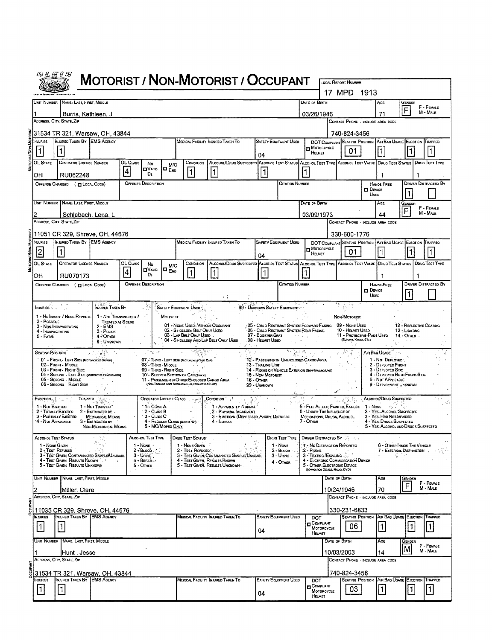|               | 彻旦医日后                                                                                                                                     |                                                                                                   |                                                  |                 |                                  |                        |                                                                                                |                                                                                                                   |                                 |    |                                                                                       |           |                                            |               |                                                                 |                  |                                                                         |                                                           |                             |
|---------------|-------------------------------------------------------------------------------------------------------------------------------------------|---------------------------------------------------------------------------------------------------|--------------------------------------------------|-----------------|----------------------------------|------------------------|------------------------------------------------------------------------------------------------|-------------------------------------------------------------------------------------------------------------------|---------------------------------|----|---------------------------------------------------------------------------------------|-----------|--------------------------------------------|---------------|-----------------------------------------------------------------|------------------|-------------------------------------------------------------------------|-----------------------------------------------------------|-----------------------------|
|               |                                                                                                                                           |                                                                                                   |                                                  |                 |                                  |                        |                                                                                                | <b>MOTORIST / NON-MOTORIST / OCCUPANT</b>                                                                         |                                 |    |                                                                                       |           |                                            | 17 MPD        | <b>LOCAL REPORT NUMBER</b>                                      | - 1913           |                                                                         |                                                           |                             |
|               |                                                                                                                                           | UNIT NUMBER NAME: LAST, FIRST, MIDDLE                                                             |                                                  |                 |                                  |                        |                                                                                                |                                                                                                                   |                                 |    |                                                                                       |           | DATE OF BIRTH                              |               |                                                                 |                  | AGE                                                                     | Gender                                                    |                             |
|               |                                                                                                                                           | Burris, Kathleen, J                                                                               |                                                  |                 |                                  |                        |                                                                                                |                                                                                                                   |                                 |    |                                                                                       |           | 03/26/1946                                 |               |                                                                 |                  | 71                                                                      | F                                                         | F - FEMALE<br>M - MALE      |
|               |                                                                                                                                           | ADDRESS, CITY, STATE, ZIP                                                                         |                                                  |                 |                                  |                        |                                                                                                |                                                                                                                   |                                 |    |                                                                                       |           |                                            |               | CONTACT PHONE - INCLUDE AREA CODE                               |                  |                                                                         |                                                           |                             |
|               |                                                                                                                                           | 31534 TR 321, Warsaw, OH, 43844                                                                   |                                                  |                 |                                  |                        |                                                                                                |                                                                                                                   |                                 |    |                                                                                       |           |                                            |               | 740-824-3456                                                    |                  |                                                                         |                                                           |                             |
|               | INJURED TAKEN BY EMS AGENCY<br><b>NJURIES</b><br>MEDICAL FACILITY INJURED TAKEN TO<br><b>SAFETY EQUIPMENT USED</b><br><b>D</b> MOTORCYCLE |                                                                                                   |                                                  |                 |                                  |                        |                                                                                                |                                                                                                                   |                                 |    |                                                                                       |           |                                            |               | DOT COMPLIANT SEATING POSITION AIR BAG USAGE EJECTION TRAPPED   |                  |                                                                         |                                                           |                             |
|               |                                                                                                                                           | 04                                                                                                |                                                  |                 |                                  |                        |                                                                                                |                                                                                                                   |                                 |    |                                                                                       |           | HELMET                                     |               | 01                                                              |                  |                                                                         |                                                           |                             |
|               | OL STATE                                                                                                                                  | <b>OPERATOR LICENSE NUMBER</b>                                                                    |                                                  | OL CLASS        | No<br><b>DVAID</b>               | M/C<br>$\Box$ $_{ENO}$ | CONDITION                                                                                      | ALCOHOL/DRUG SUSPECTED ALCOHOL TEST STATUS ALCOHOL TEST TYPE ALCOHOL TEST VALUE DRUG TEST STATUS DRUG TEST TYPE   |                                 |    |                                                                                       |           |                                            |               |                                                                 |                  |                                                                         |                                                           |                             |
|               | OН                                                                                                                                        | RU062248                                                                                          |                                                  | 4               | Dı.                              |                        | 11                                                                                             | $\mathbf 1$                                                                                                       |                                 | 1  |                                                                                       |           |                                            |               |                                                                 |                  | 1                                                                       |                                                           |                             |
|               |                                                                                                                                           | OFFENSE CHARGED ( ELOCAL CODE)                                                                    |                                                  |                 | <b>OFFENSE DESCRIPTION</b>       |                        |                                                                                                |                                                                                                                   |                                 |    | <b>CITATION NUMBER</b>                                                                |           |                                            |               |                                                                 | <b>D</b> Device  | HANDS-FREE                                                              |                                                           | <b>DRIVER DISTRACTED BY</b> |
|               |                                                                                                                                           | UNIT NUMBER   NAME: LAST, FIRST, MIDDLE                                                           |                                                  |                 |                                  |                        |                                                                                                |                                                                                                                   |                                 |    |                                                                                       |           |                                            |               |                                                                 | Usep             |                                                                         | 1                                                         |                             |
|               |                                                                                                                                           |                                                                                                   |                                                  |                 |                                  |                        |                                                                                                |                                                                                                                   |                                 |    |                                                                                       |           | DATE OF BIRTH                              |               |                                                                 |                  | AGE                                                                     | Gender<br>F                                               | F - FEMALE<br>M - MALE      |
|               |                                                                                                                                           | Schlabach, Lena, L<br>ADDRESS, CITY, STATE, ZIP                                                   |                                                  |                 |                                  |                        |                                                                                                |                                                                                                                   |                                 |    |                                                                                       |           | 03/09/1973                                 |               | CONTACT PHONE - INCLUDE AREA CODE                               |                  | 44                                                                      |                                                           |                             |
|               |                                                                                                                                           | 11051 CR 329, Shreve, OH, 44676                                                                   |                                                  |                 |                                  |                        |                                                                                                |                                                                                                                   |                                 |    |                                                                                       |           |                                            |               | 330-600-1776                                                    |                  |                                                                         |                                                           |                             |
|               | <b>NAVRIES</b>                                                                                                                            | INJURED TAKEN BY EMS AGENCY                                                                       |                                                  |                 |                                  |                        |                                                                                                | MEDICAL FACEITY INJURED TAKEN TO                                                                                  |                                 |    | <b>SAFETY EQUIPMENT USED</b>                                                          |           |                                            |               |                                                                 |                  | DOT COMPLIANT SEATING POSITION AIR BAG USAGE EJECTION TRAPPED           |                                                           |                             |
|               | $\overline{2}$                                                                                                                            | $\vert$ 1 $\vert$                                                                                 |                                                  |                 |                                  |                        |                                                                                                |                                                                                                                   | 04                              |    |                                                                                       |           | MOTORCYCLE<br>HELMET                       |               | 01                                                              |                  |                                                                         |                                                           |                             |
|               | OL STATE                                                                                                                                  | OPERATOR LICENSE NUMBER                                                                           |                                                  | OL CLASS        | No                               | M/C                    | CONDITION                                                                                      | ALCONOL/DRUG SUSPECTED ALCONOL TEST STATUS ALCONOL TEST TYPE ALCONOL TEST VALUE DRUG TEST STATUS   DRUG TEST TYPE |                                 |    |                                                                                       |           |                                            |               |                                                                 |                  |                                                                         |                                                           |                             |
|               | OН                                                                                                                                        | RU070173                                                                                          |                                                  | $\vert 4 \vert$ | <b>OVALID</b><br>Dı.             | IO <sub>Eno</sub>      | $\mathbf{1}$                                                                                   |                                                                                                                   |                                 | 11 |                                                                                       | 1         |                                            |               |                                                                 |                  |                                                                         |                                                           |                             |
|               |                                                                                                                                           | OFFENSE CHARGED ( [ LOCAL CODE)                                                                   |                                                  |                 | <b>OFFENSE DESCRIPTION</b>       |                        |                                                                                                |                                                                                                                   |                                 |    | <b>CITATION NUMBER</b>                                                                |           |                                            |               |                                                                 | $\square$ Device | HANDS-FREE                                                              |                                                           | <b>DRIVER DISTRACTED BY</b> |
|               |                                                                                                                                           |                                                                                                   |                                                  |                 |                                  |                        |                                                                                                | $\mathbf{r}$                                                                                                      |                                 |    |                                                                                       |           |                                            |               |                                                                 | Usen             |                                                                         |                                                           |                             |
|               | <b>INJURIES</b>                                                                                                                           |                                                                                                   | <b>NAVRED TAKEN BY</b>                           |                 |                                  |                        | SAFETY EQUIPMENT USED                                                                          |                                                                                                                   |                                 |    | 99 - UNKNOWN SAFETY EQUIPMENT                                                         |           |                                            |               |                                                                 |                  |                                                                         |                                                           |                             |
|               | 2 - POSSIBLE                                                                                                                              | 1 - No INJURY / NONE REPORTE                                                                      | 1 - NOT TRANSPORTED /<br><b>TREATED AT SCENE</b> |                 |                                  | MOTORIST               |                                                                                                |                                                                                                                   |                                 |    |                                                                                       |           |                                            |               | Non-Motorist                                                    |                  |                                                                         |                                                           |                             |
|               | 4 - INCAPACITATING                                                                                                                        | 3 - NON-INCAPACITATING                                                                            | $2 - EMS$<br>$3 - P_{OLICE}$                     |                 |                                  |                        | 01 - NONE USEO - VEHICLE OCCUPANT<br>02 - S HOULDER BELT ONLY USED<br>03 - LAP BELT ONLY USED. |                                                                                                                   | 07 - BOOSTER SEAT               |    | -05 - CHILO RESTRAINT SYSTEM-FORWARD FACING<br>06 - Chad Restraint System-Rear Facing |           |                                            |               | 09 - Nave Useo<br>10 - HELMET USEO<br>11 - PROTECTIVE PADS USED |                  |                                                                         | 12 - REFLECTIVE COATING<br>13 - Lighting<br>$14 -$ OTHER. |                             |
|               | $5 - FATAL$                                                                                                                               |                                                                                                   | 4 - OTHER<br>9 - UNKNOWN                         |                 |                                  |                        | 04 - S HOULDER AND LAP BELT ONLY USED                                                          |                                                                                                                   | 08 - HELMET USED                |    |                                                                                       |           |                                            |               | (Eusows, Kwees, Etc)<br>أجاو                                    |                  |                                                                         |                                                           |                             |
|               | <b>SEATING POSITION</b>                                                                                                                   |                                                                                                   | a Galeria                                        |                 | , 'ಇ ತ                           |                        |                                                                                                |                                                                                                                   |                                 |    |                                                                                       |           |                                            |               |                                                                 |                  | AIR BAG USAGE                                                           |                                                           |                             |
|               |                                                                                                                                           | 01 - FRONT LEFT SIDE (MOTORCYCLE ORNER)<br>02 - FRONT - MIDDLE                                    |                                                  |                 | 08 - THIRO - MIDDLE              |                        | 07. - THIRO - LEFT SIDE (MOYORCYCLE SIDE CAR)                                                  |                                                                                                                   | 13 - TRACING UNIT               |    | 12 - PASSENGER IN UNENCLOSED CARGO AREA<br>in a ghliaidh ann                          |           |                                            |               |                                                                 |                  | 1 - Nor DePLOYED.<br>2 - DEPLOYEO FRONT                                 |                                                           |                             |
|               |                                                                                                                                           | 03 - FRONT - RIGHT SIDE<br>04 - SECOND - LEFT SIDE (MOTORCYCLE PRESENCER)<br>05 - SECOND - MIDOLE |                                                  |                 | 09 - THIRO - RIGHT SIDE          |                        | 10'- SLEEPER SECTION OF CAB (TRUCK).<br>11 - PASSENGER IN OTHER ENCLOSED CARGO AREA            |                                                                                                                   | 15 - Non Matorist<br>16 - Отнея |    | 14 - RIOING ON VEHICLE EXTERIOR (NON-TRAING UNT)                                      |           |                                            |               |                                                                 |                  | 3 - DEPLOYED SIDE<br>4 - DEPLOYED BOTH FRONT/SIDE<br>5 - Not Applicable |                                                           |                             |
|               |                                                                                                                                           | 05 - Second - Right Side                                                                          |                                                  |                 |                                  |                        | (NON-TRAILING UNIT SUCH AS A BUS, PICKAIP WITH CAP)                                            |                                                                                                                   | 99 - Unignown                   |    |                                                                                       |           |                                            |               |                                                                 |                  | 9 - DEPLOYMENT UNKNOWN                                                  |                                                           |                             |
|               | $\mathsf{E}$ Jection $\pi_{\mathbb{Q}}$ , $\ldots$                                                                                        | Trappeo                                                                                           |                                                  |                 | OPERATOR LICENSE CLASS           |                        |                                                                                                | CONDITION <sup>5</sup>                                                                                            |                                 |    |                                                                                       |           |                                            |               |                                                                 |                  | ALCOHOL/DRUG SUSPECTED                                                  |                                                           |                             |
|               | 1 - Nor Euecreo<br>2 - TOTALLY EJECTED                                                                                                    |                                                                                                   | 1 - Not Trapped<br>$2 -$ EXTRIGATED BY           |                 | 1 - Class A<br>2 - CLASS B       |                        |                                                                                                | 1 - APPARENTLY NORMAL<br>2 - Physical Impariment                                                                  |                                 |    |                                                                                       |           | 6 - UNDER THE INFLUENCE OF                 |               | 5 - FELL ASLEEP, FAINTEO, FATIQUE                               |                  | $1 - \text{Now}$<br>2 - YES - ALCOHOL SUSPECTED                         |                                                           |                             |
|               | 4 - NOT APPLICABLE                                                                                                                        | 3 - PARTIALLY EJECTED                                                                             | <b>MECHANICAL MEANS</b><br>3 - EXTRICATED BY     |                 | 3 - Cuss C                       |                        | 4 - REGULAR CLASS (DHOIS D.)                                                                   | 3 - EMOTIONL (DEPRESSED, ANGRY, DISTURBE<br>4 - Illness                                                           |                                 |    |                                                                                       | 7 - OTHER | MEDICATIONS, DRUGS, ALCOHOL                |               |                                                                 |                  | 3 - Yes HBO NOTMPATRED<br>4 - YES-DRUGS SUSPECTED                       |                                                           |                             |
|               |                                                                                                                                           |                                                                                                   | NON-MECHANICAL MEANS                             |                 | 5 - MC/Moped Only                |                        |                                                                                                |                                                                                                                   |                                 |    |                                                                                       |           |                                            |               |                                                                 |                  | 5 - YES ALCOHOL AND DRUGS SUSPECTED                                     |                                                           |                             |
|               | <b>ALCOHOL TEST STATUS</b><br>1 - None Given                                                                                              |                                                                                                   |                                                  |                 | Alcohol Test Type<br>1 - None    |                        | <b>DRUG TEST STATUS</b><br>1 - NONE GIVEN                                                      |                                                                                                                   |                                 |    | DRUG TEST TYPE<br>.1 - Noue                                                           |           | 1 - No DISTRACTION REPORTED                |               | DRIVER DISTRACTED BY <b>AND THE R</b>                           |                  | 6 - OTHER INSIDE THE VEHICLE                                            |                                                           |                             |
|               | 2 - TEST REFUSED                                                                                                                          | 3 - TEST GIVEN, CONTAMINATED SAMPLE/UNUSABL                                                       |                                                  |                 | $2 - B \cdot 000$<br>$3 -$ Urine |                        | 2 - Testi Refused:                                                                             | 3 - TEST GIVEN, CONTAMINATED SAMPLE/UNUSABL                                                                       |                                 |    | $2 - B_{LOOO}$<br>$3 -$ Urune.                                                        | 2 - Phone | 3 - TEXTING / EMAILING                     |               |                                                                 |                  | 7 - External Distraction<br>一项。                                         |                                                           |                             |
|               |                                                                                                                                           | 4 - Test Given, Results Known<br>5 - TEST GIVEN, RESULTS UNKNOWN                                  |                                                  |                 | 4 - BREATH<br>5 - OTHER          |                        | 4 - TEST GIVEN, RESULTS KNOWN                                                                  | 5 - TEST GIVEN, RESULTS UNKNOWN                                                                                   |                                 |    | 4 - OTHER                                                                             |           | 5 - Other Electronic Device                |               | 4 ELCTRONIC COMMUNICATION DEVICE                                |                  |                                                                         |                                                           |                             |
|               | UNIT NUMBER                                                                                                                               | NAME: LAST, FIRST, MIDDLE                                                                         |                                                  |                 |                                  |                        |                                                                                                |                                                                                                                   |                                 |    |                                                                                       |           | (NAMGATION DEVICE, RADIO, DVD)             | DATE OF BIRTH |                                                                 |                  | Age                                                                     | GENDER                                                    |                             |
|               |                                                                                                                                           | Miller, Clara                                                                                     |                                                  |                 |                                  |                        |                                                                                                |                                                                                                                   |                                 |    |                                                                                       |           |                                            | 10/24/1946    |                                                                 |                  | 70                                                                      | $\overline{\mathsf{F}}$                                   | F - Female<br>M - MALE      |
|               |                                                                                                                                           | ADDRESS, CITY, STATE, ZIP                                                                         |                                                  |                 |                                  |                        |                                                                                                |                                                                                                                   |                                 |    |                                                                                       |           |                                            |               | CONTACT PHONE - INCLUDE AREA CODE                               |                  |                                                                         |                                                           |                             |
|               |                                                                                                                                           | 11035 CR 329, Shreve, OH, 44676                                                                   |                                                  |                 |                                  |                        |                                                                                                |                                                                                                                   |                                 |    |                                                                                       |           |                                            |               | 330-231-6833                                                    |                  |                                                                         |                                                           |                             |
|               | <b>NJURIES</b>                                                                                                                            | INJURED TAKEN BY EMS AGENCY                                                                       |                                                  |                 |                                  |                        |                                                                                                | MEDICAL FACILITY INJURED TAKEN TO                                                                                 |                                 |    | <b>SAFETY EQUIPMENT USED</b>                                                          |           | DOT                                        |               | <b>SEATING POSITION</b>                                         |                  | AIR BAG USAGE                                                           | EJECTION                                                  | Trapped                     |
|               | 1                                                                                                                                         | 1                                                                                                 |                                                  |                 |                                  |                        |                                                                                                |                                                                                                                   | 04                              |    |                                                                                       |           | <b>D</b> COMPLIANT<br>MOTORCYCLE<br>HELMET |               | 06                                                              |                  | 1                                                                       | $\vert$ 1                                                 | $\vert$ 1                   |
|               |                                                                                                                                           | UNIT NUMBER   NAME: LAST, FIRST, MIDDLE                                                           |                                                  |                 |                                  |                        |                                                                                                |                                                                                                                   |                                 |    |                                                                                       |           |                                            | DATE OF BIRTH |                                                                 |                  | AGE                                                                     | Genden                                                    |                             |
|               |                                                                                                                                           | Hunt , Jesse                                                                                      |                                                  |                 |                                  |                        |                                                                                                |                                                                                                                   |                                 |    |                                                                                       |           |                                            | 10/03/2003    |                                                                 |                  | 14                                                                      | lΜ                                                        | F - Female<br>M - Male      |
|               |                                                                                                                                           | ADDRESS, CITY, STATE, ZIP                                                                         |                                                  |                 |                                  |                        |                                                                                                |                                                                                                                   |                                 |    |                                                                                       |           |                                            |               | CONTACT PHONS - INCLUDE AREA CODE                               |                  |                                                                         |                                                           |                             |
| <b>EXPAND</b> |                                                                                                                                           | 31534 TR 321, Warsaw, OH, 43844                                                                   |                                                  |                 |                                  |                        |                                                                                                |                                                                                                                   |                                 |    |                                                                                       |           |                                            |               | 740-824-3456                                                    |                  |                                                                         |                                                           |                             |
|               | NAURIES                                                                                                                                   | INJURED TAKEN BY EMS AGENCY                                                                       |                                                  |                 |                                  |                        |                                                                                                | MEDICAL FACILITY INJURED TAKEN TO                                                                                 |                                 |    | SAFETY EQUIPMENT USED                                                                 |           | DOT<br>COMPLIANT                           |               | <b>SEATING POSITION</b>                                         |                  | AIR BAG USAGE                                                           | EJECTION                                                  | Trapped                     |
|               | $\vert$ 1                                                                                                                                 | $\vert$ 1                                                                                         |                                                  |                 |                                  |                        |                                                                                                |                                                                                                                   | 04                              |    |                                                                                       |           | MOTORCYCLE<br>HELMET                       |               | 03                                                              |                  | $\vert$ 1                                                               | $\vert$ 1                                                 | $\vert$ 1                   |